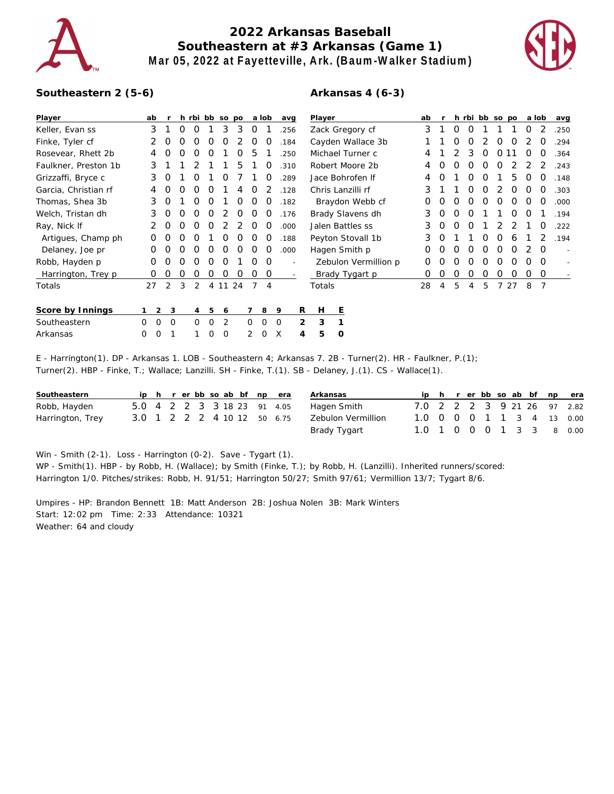

## **2022 Arkansas Baseball Southeastern at #3 Arkansas (Game 1) Mar 05, 2022 at Fayetteville, Ark. (Baum-Walker Stadium)**



## **Southeastern 2 (5-6)**

## **Arkansas 4 (6-3)**

| Player               | ab               |                       |          |          |          | h rbi bb so po |    |                  | a lob                    | avg      |   | Player               |    |   |   |   |   | h rbi bb so po |    | a lob |          | avg  |
|----------------------|------------------|-----------------------|----------|----------|----------|----------------|----|------------------|--------------------------|----------|---|----------------------|----|---|---|---|---|----------------|----|-------|----------|------|
| Keller, Evan ss      | 3                |                       | $\Omega$ | O        |          | 3              | 3  | 0                |                          | .256     |   | Zack Gregory cf      | 3  |   | Ο | O |   |                |    | 0     |          | .250 |
| Finke, Tyler cf      |                  | O                     | O        | O        | O        | O              | 2  | $\Omega$         | O                        | .184     |   | Cayden Wallace 3b    |    |   | Ο | Ο |   | Ο              | O  |       | O        | .294 |
| Rosevear, Rhett 2b   |                  |                       |          |          |          |                | O  | 5                |                          | 250      |   | Michael Turner c     | 4  |   |   | 3 | O | 0              |    | O     | O        | .364 |
| Faulkner, Preston 1b | 3                |                       |          |          |          |                | 5  |                  | O                        | 310      |   | Robert Moore 2b      | 4  |   | Ω | Ο | O | O              |    |       |          | .243 |
| Grizzaffi, Bryce c   | 3                | O                     |          | O        |          | Ω              |    |                  | O                        | .289     |   | Jace Bohrofen If     | 4  | Ω |   | Ω | O |                | 5  | Ω     | O        | .148 |
| Garcia, Christian rf | 4                |                       |          | $\Omega$ | $\left($ |                |    | $\left( \right)$ |                          | .128     |   | Chris Lanzilli rf    | 3  |   |   | Ω | O |                | Ο  | Ο     | O        | .303 |
| Thomas, Shea 3b      | 3                | O                     |          | $\left($ | O        |                | O  | $\left( \right)$ | $\left($                 | .182     |   | Braydon Webb cf      | O  | Ο | Ω | Ο | Ο | Ο              | Ο  | O     | O        | .000 |
| Welch, Tristan dh    | 3                | O                     | Ω        | Ω        | O        |                | O  | Ω                | $\left($                 | .176     |   | Brady Slavens dh     | 3  | Ο | ი | Ο |   |                | Ω  | Ω     |          | .194 |
| Ray, Nick If         |                  |                       |          |          |          |                |    |                  |                          | .000     |   | Jalen Battles ss     | 3  | Ο | ი | Ω |   |                |    |       | O        | .222 |
| Artigues, Champ ph   |                  |                       |          |          |          |                |    |                  |                          | .188     |   | Peyton Stovall 1b    | 3  | 0 |   |   | ი | ი              | 6  |       |          | .194 |
| Delaney, Joe pr      | Ω                |                       |          |          | Ω        |                |    |                  |                          | .000     |   | Hagen Smith p        | 0  |   |   | Ω | Ω | 0              | Ω  |       | $\Omega$ |      |
| Robb, Hayden p       | O                |                       |          |          | Ω        |                |    |                  | $\Omega$                 |          |   | Zebulon Vermillion p | Ο  |   | ი | Ω | ი | Ο              |    | Ο     | O        |      |
| Harrington, Trey p   | O                |                       |          | O        | O        | O              | O  | Ο                | 0                        |          |   | Brady Tygart p       | O  | Ο | Ο | Ο | Ο | Ο              | Ο  | Ο     | 0        |      |
| Totals               | 27               | 2                     | 3        | 2        |          | 4 1 1          | 24 | $\overline{7}$   | $\boldsymbol{\varDelta}$ |          |   | Totals               | 28 | 4 | 5 | 4 | 5 |                | 27 | 8     | -7       |      |
| Score by Innings     |                  | $\overline{2}$<br>- 3 |          | 4        | 5        | 6              |    |                  | 8                        | 9        | R | H.<br>E              |    |   |   |   |   |                |    |       |          |      |
| Southeastern         | $\mathbf 0$<br>0 | 0                     |          | 0        | $\Omega$ | 2              |    | $\Omega$         | $\Omega$                 | $\Omega$ | 2 | 3                    |    |   |   |   |   |                |    |       |          |      |
| Arkansas             | 0<br>0           |                       |          |          | 0        | 0              |    | 2                | O                        | X        | 4 | 5<br>$\circ$         |    |   |   |   |   |                |    |       |          |      |

E - Harrington(1). DP - Arkansas 1. LOB - Southeastern 4; Arkansas 7. 2B - Turner(2). HR - Faulkner, P.(1); Turner(2). HBP - Finke, T.; Wallace; Lanzilli. SH - Finke, T.(1). SB - Delaney, J.(1). CS - Wallace(1).

| Southeastern     |  |  |  |  | ip h r er bb so ab bf np era | Arkansas           |                          |  |  |  |  | ip h r er bb so ab bf np era |
|------------------|--|--|--|--|------------------------------|--------------------|--------------------------|--|--|--|--|------------------------------|
| Robb, Hayden     |  |  |  |  | 5.0 4 2 2 3 3 18 23 91 4.05  | Hagen Smith        |                          |  |  |  |  | 7.0 2 2 2 3 9 21 26 97 2.82  |
| Harrington, Trey |  |  |  |  | 3.0 1 2 2 2 4 10 12 50 6.75  | Zebulon Vermillion |                          |  |  |  |  | 1.0 0 0 0 1 1 3 4 13 0.00    |
|                  |  |  |  |  |                              | Brady Tygart       | 1.0 1 0 0 0 1 3 3 8 0.00 |  |  |  |  |                              |

Win - Smith (2-1). Loss - Harrington (0-2). Save - Tygart (1). WP - Smith(1). HBP - by Robb, H. (Wallace); by Smith (Finke, T.); by Robb, H. (Lanzilli). Inherited runners/scored: Harrington 1/0. Pitches/strikes: Robb, H. 91/51; Harrington 50/27; Smith 97/61; Vermillion 13/7; Tygart 8/6.

Umpires - HP: Brandon Bennett 1B: Matt Anderson 2B: Joshua Nolen 3B: Mark Winters Start: 12:02 pm Time: 2:33 Attendance: 10321 Weather: 64 and cloudy